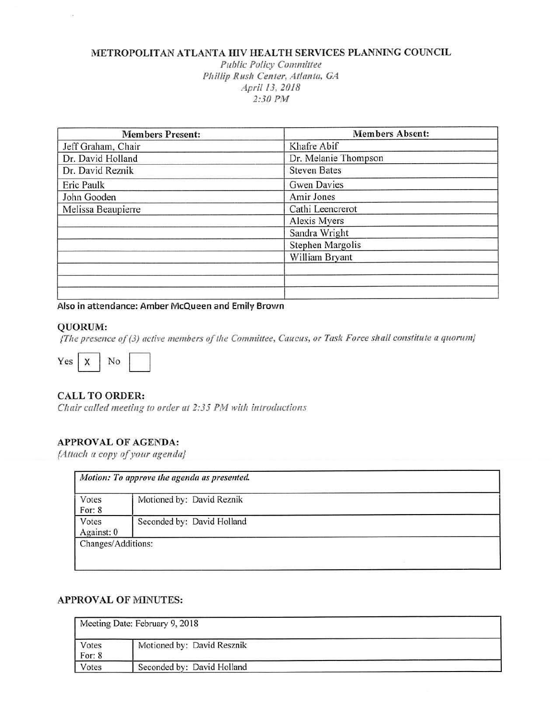## METROPOLITAN ATLANTA HIV HEALTH SERVICES PLANNING COUNCIL

*Public Policy Committee Pili/lip Rush Center, Atlanta, GA April 13, 2018*  2:30 PM

| <b>Members Present:</b> | <b>Members Absent:</b> |
|-------------------------|------------------------|
| Jeff Graham, Chair      | Khafre Abif            |
| Dr. David Holland       | Dr. Melanie Thompson   |
| Dr. David Reznik        | <b>Steven Bates</b>    |
| Eric Paulk              | Gwen Davies            |
| John Gooden             | Amir Jones             |
| Melissa Beaupierre      | Cathi Leencrerot       |
|                         | Alexis Myers           |
|                         | Sandra Wright          |
|                         | Stephen Margolis       |
|                         | William Bryant         |
|                         |                        |
|                         |                        |
|                         |                        |

**Also in attendance: Amber McQueen and Emily Brown** 

#### **QUORUM:**

*{The presence o/(3) active members of the Committee, Caucus, or* Task *Force shall constitute a quorum}* 



## CALL TO ORDER:

*Chair called meeting to order at 2:Jj PM with* introductions

### **APPROVAL OF AGENDA:**

*{Attach a copy* of your *agenda}* 

| Votes<br>For: 8     | Motioned by: David Reznik  |  |
|---------------------|----------------------------|--|
| Votes<br>Against: 0 | Seconded by: David Holland |  |

## **APPROVAL OF MINUTES:**

|                   | Meeting Date: February 9, 2018 |  |
|-------------------|--------------------------------|--|
| Votes<br>For: $8$ | Motioned by: David Resznik     |  |
| Votes             | Seconded by: David Holland     |  |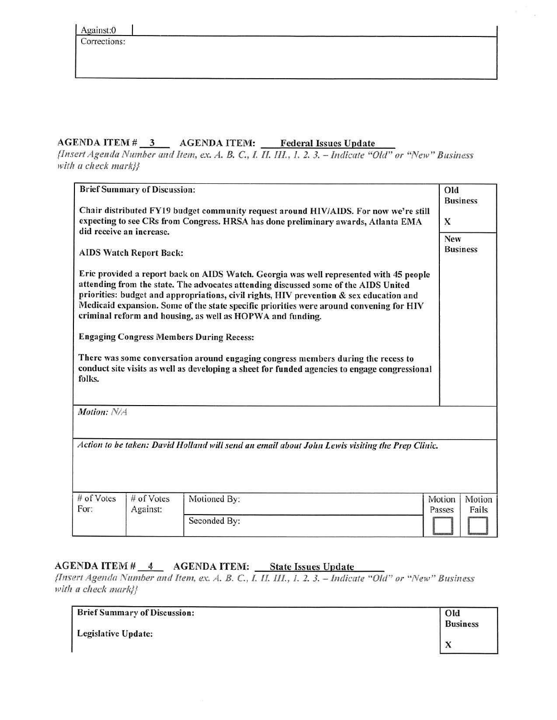#### $AGENDA$  ITEM  $\#$  3 AGENDA ITEM: Federal Issues Update

--- *{Insert Agenda Number and Item, ex. A. B.* C., *L fl. Ill., 1. 2. 3. - Indicate "Old" or "New" Business*  with *a check mark*}}

|                                             | <b>Brief Summary of Discussion:</b>                        |                                                                                                                                                                                                                                                                                                                                                                                                                                                                                                                                                                           | Old<br><b>Business</b>              |
|---------------------------------------------|------------------------------------------------------------|---------------------------------------------------------------------------------------------------------------------------------------------------------------------------------------------------------------------------------------------------------------------------------------------------------------------------------------------------------------------------------------------------------------------------------------------------------------------------------------------------------------------------------------------------------------------------|-------------------------------------|
|                                             |                                                            | Chair distributed FY19 budget community request around HIV/AIDS. For now we're still<br>expecting to see CRs from Congress. HRSA has done preliminary awards, Atlanta EMA                                                                                                                                                                                                                                                                                                                                                                                                 | $\mathbf x$                         |
|                                             | did receive an increase.<br><b>AIDS Watch Report Back:</b> |                                                                                                                                                                                                                                                                                                                                                                                                                                                                                                                                                                           | New<br><b>Business</b>              |
|                                             |                                                            | Eric provided a report back on AIDS Watch. Georgia was well represented with 45 people<br>attending from the state. The advocates attending discussed some of the AIDS United<br>priorities: budget and appropriations, civil rights, HIV prevention & sex education and<br>Medicaid expansion. Some of the state specific priorities were around convening for HIV<br>criminal reform and housing, as well as HOPWA and funding.<br><b>Engaging Congress Members During Recess:</b><br>There was some conversation around engaging congress members during the recess to |                                     |
|                                             |                                                            | conduct site visits as well as developing a sheet for funded agencies to engage congressional                                                                                                                                                                                                                                                                                                                                                                                                                                                                             |                                     |
|                                             |                                                            |                                                                                                                                                                                                                                                                                                                                                                                                                                                                                                                                                                           |                                     |
|                                             |                                                            | Action to be taken: David Holland will send an email about John Lewis visiting the Prep Clinic.                                                                                                                                                                                                                                                                                                                                                                                                                                                                           |                                     |
|                                             |                                                            |                                                                                                                                                                                                                                                                                                                                                                                                                                                                                                                                                                           |                                     |
| folks.<br>Motion: N/A<br># of Votes<br>For: | # of Votes<br>Against:                                     | Motioned By:                                                                                                                                                                                                                                                                                                                                                                                                                                                                                                                                                              | Motion<br>Motion<br>Passes<br>Fails |

# AGENDA ITEM # 4 AGENDA ITEM: State Issues Update

*{Insert Agenda Number and Item, ex. A. B.* C., *l IL Ill., I. 2. 3. - Indicate* "Old" *or "New"* Business with *a check mark}}* 

| <b>Brief Summary of Discussion:</b> | Old             |
|-------------------------------------|-----------------|
|                                     | <b>Business</b> |
| <b>Legislative Update:</b>          |                 |
|                                     | $\Lambda$       |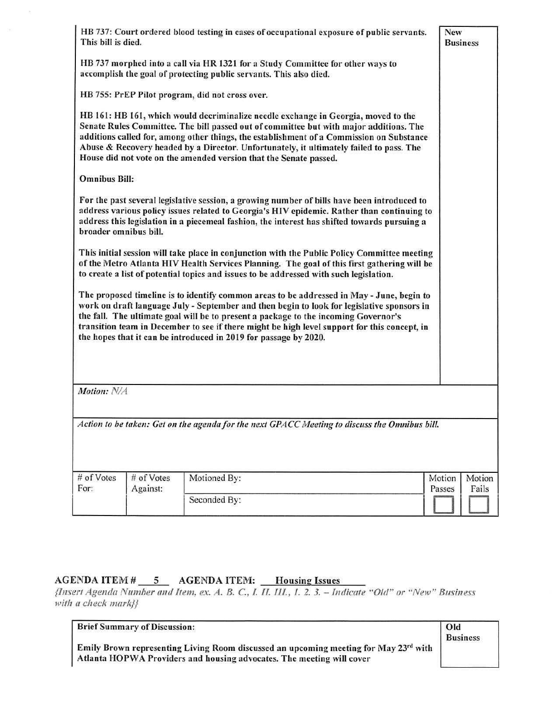| This bill is died.    |            | HB 737: Court ordered blood testing in cases of occupational exposure of public servants.                                                                                                                                                                                                                                                                                                                                                          | New<br><b>Business</b> |
|-----------------------|------------|----------------------------------------------------------------------------------------------------------------------------------------------------------------------------------------------------------------------------------------------------------------------------------------------------------------------------------------------------------------------------------------------------------------------------------------------------|------------------------|
|                       |            | HB 737 morphed into a call via HR 1321 for a Study Committee for other ways to<br>accomplish the goal of protecting public servants. This also died.                                                                                                                                                                                                                                                                                               |                        |
|                       |            | HB 755: PrEP Pilot program, did not cross over.                                                                                                                                                                                                                                                                                                                                                                                                    |                        |
|                       |            | HB 161: HB 161, which would decriminalize needle exchange in Georgia, moved to the<br>Senate Rules Committee. The bill passed out of committee but with major additions. The<br>additions called for, among other things, the establishment of a Commission on Substance<br>Abuse & Recovery headed by a Director. Unfortunately, it ultimately failed to pass. The<br>House did not vote on the amended version that the Senate passed.           |                        |
| <b>Omnibus Bill:</b>  |            |                                                                                                                                                                                                                                                                                                                                                                                                                                                    |                        |
| broader omnibus bill. |            | For the past several legislative session, a growing number of bills have been introduced to<br>address various policy issues related to Georgia's HIV epidemic. Rather than continuing to<br>address this legislation in a piecemeal fashion, the interest has shifted towards pursuing a                                                                                                                                                          |                        |
|                       |            | This initial session will take place in conjunction with the Public Policy Committee meeting<br>of the Metro Atlanta HIV Health Services Planning. The goal of this first gathering will be<br>to create a list of potential topics and issues to be addressed with such legislation.                                                                                                                                                              |                        |
|                       |            | The proposed timeline is to identify common areas to be addressed in May - June, begin to<br>work on draft language July - September and then begin to look for legislative sponsors in<br>the fall. The ultimate goal will be to present a package to the incoming Governor's<br>transition team in December to see if there might be high level support for this concept, in<br>the hopes that it can be introduced in 2019 for passage by 2020. |                        |
|                       |            |                                                                                                                                                                                                                                                                                                                                                                                                                                                    |                        |
| Motion: N/A           |            |                                                                                                                                                                                                                                                                                                                                                                                                                                                    |                        |
|                       |            | Action to be taken: Get on the agenda for the next GPACC Meeting to discuss the Omnibus bill.                                                                                                                                                                                                                                                                                                                                                      |                        |
|                       | # of Votes | Motioned By:                                                                                                                                                                                                                                                                                                                                                                                                                                       | Motion<br>Motion       |
| # of Votes<br>For:    | Against:   |                                                                                                                                                                                                                                                                                                                                                                                                                                                    | Fails<br>Passes        |

#### $AGENDA$  ITEM  $\#$   $\_$  $\frac{5}{\sqrt{10}}$  A<br>aber and Ite AGENDA ITEM: Housing Issues

{Insert *Agenda Number and Item. ex. A. B.* C., *1. II. 111., 1. 2. 3. - Indicate* "Old" *or* "New" *Business*  with a check mark}}

| <b>Brief Summary of Discussion:</b>                                                  | Old             |
|--------------------------------------------------------------------------------------|-----------------|
|                                                                                      | <b>Business</b> |
| Emily Brown representing Living Room discussed an upcoming meeting for May 23rd with |                 |
| Atlanta HOPWA Providers and housing advocates. The meeting will cover                |                 |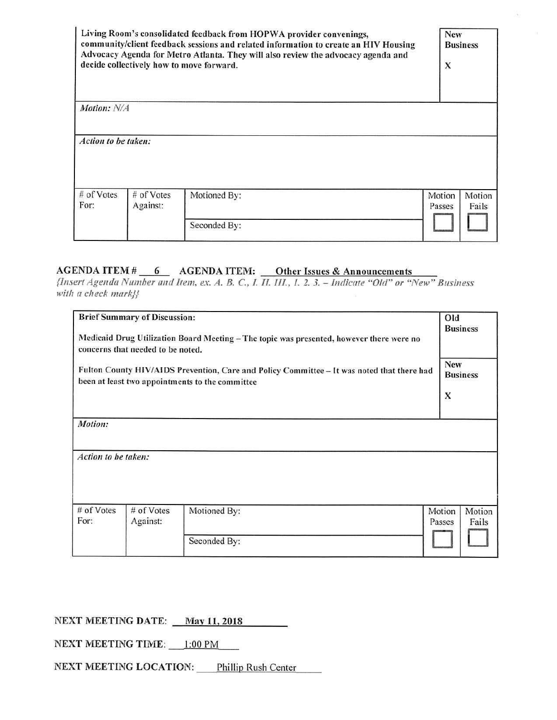|                      |                        | Living Room's consolidated feedback from HOPWA provider convenings,<br>community/client feedback sessions and related information to create an HIV Housing<br>Advocacy Agenda for Metro Atlanta. They will also review the advocacy agenda and<br>decide collectively how to move forward. | <b>New</b><br>X  | <b>Business</b> |
|----------------------|------------------------|--------------------------------------------------------------------------------------------------------------------------------------------------------------------------------------------------------------------------------------------------------------------------------------------|------------------|-----------------|
| Motion: N/A          |                        |                                                                                                                                                                                                                                                                                            |                  |                 |
| Action to be taken:  |                        |                                                                                                                                                                                                                                                                                            |                  |                 |
| $#$ of Votes<br>For: | # of Votes<br>Against: | Motioned By:                                                                                                                                                                                                                                                                               | Motion<br>Passes | Motion<br>Fails |
|                      |                        | Seconded By:                                                                                                                                                                                                                                                                               |                  |                 |

# **AGENDA ITEM#** \_..;;;... 6 \_ AGENDA ITEM: \_\_\_Other Issues & Announcements

*{Insert* Agenda *Number and Item, ex. A. B.* C., *I. II. Ill., I. 2. 3. - Indicate* "Old" *or* "New" *Business*  with *a* check mark}}

|                                | <b>Brief Summary of Discussion:</b><br>concerns that needed to be noted. | Medicaid Drug Utilization Board Meeting - The topic was presented, however there were no<br>Fulton County HIV/AIDS Prevention, Care and Policy Committee - It was noted that there had<br>been at least two appointments to the committee | Old<br>New<br>X  | <b>Business</b><br><b>Business</b> |
|--------------------------------|--------------------------------------------------------------------------|-------------------------------------------------------------------------------------------------------------------------------------------------------------------------------------------------------------------------------------------|------------------|------------------------------------|
| Motion:<br>Action to be taken: |                                                                          |                                                                                                                                                                                                                                           |                  |                                    |
| # of Votes<br>For:             | $#$ of Votes<br>Against:                                                 | Motioned By:                                                                                                                                                                                                                              | Motion<br>Passes | Motion<br>Fails                    |
|                                |                                                                          | Seconded By:                                                                                                                                                                                                                              |                  |                                    |

## **NEXT MEETING DATE:** <u>May 11, 2018</u>

NEXT MEETING TIME: 1:00 PM  $1:00 \text{ PM}$ 

NEXT MEETING LOCATION: Phillip Rush Center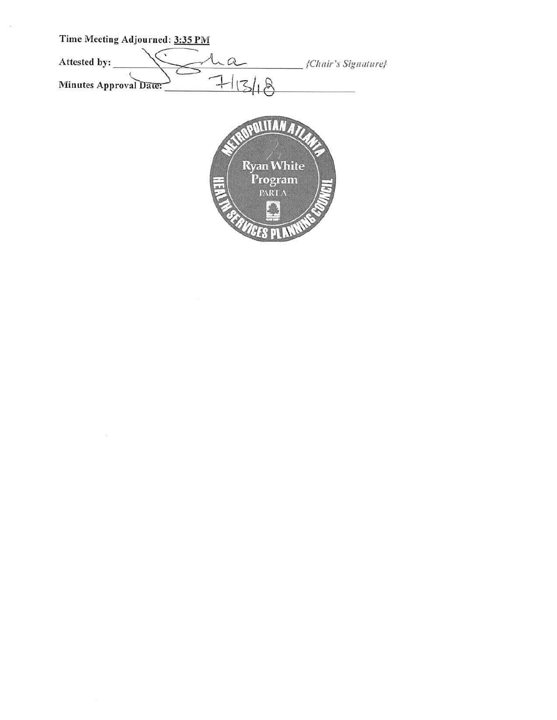Time Meeting Adjourned: 3:35 PM<br>Attested by:<br>Minutes Approval Date:  $71/3/18$ Time Meeting Adjourned: 3:35 PM<br>Attested by:<br>Minutes Approval Date: 115/18 Time Meeting Adjourned: 3:35 PM {Cltair's *Signature}* **POLITANA Ryan White**<br>Program<br>**EXRI** A  $\frac{1}{34}$ **ICES PI** 

 $\langle \cdot | \cdot \rangle$